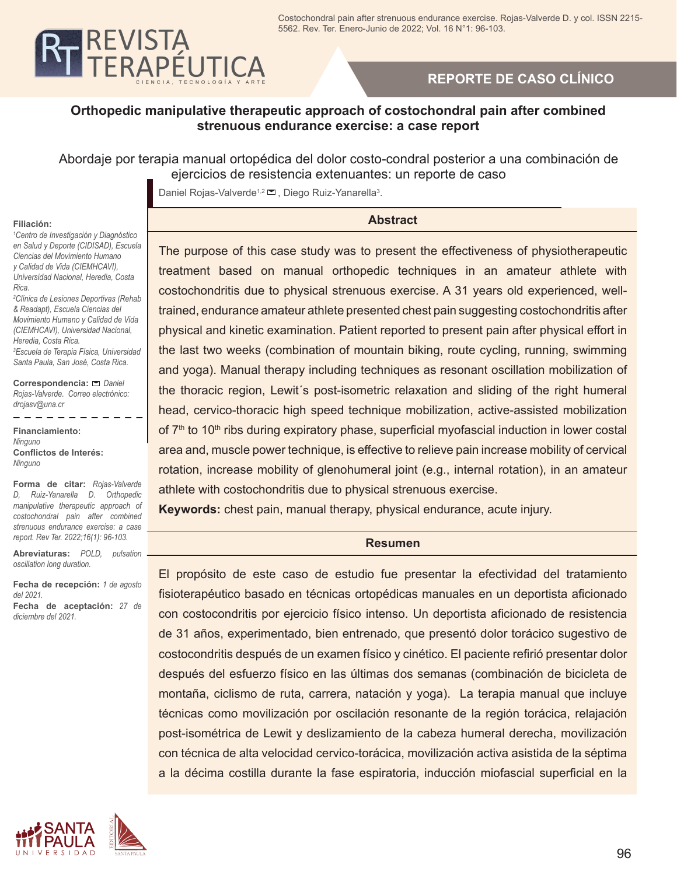

# **REPORTE DE CASO CLÍNICO**

## **Orthopedic manipulative therapeutic approach of costochondral pain after combined strenuous endurance exercise: a case report**

## Abordaje por terapia manual ortopédica del dolor costo-condral posterior a una combinación de ejercicios de resistencia extenuantes: un reporte de caso

Daniel Rojas-Valverde<sup>1,2</sup> □, Diego Ruiz-Yanarella<sup>3</sup>.

#### **Abstract**

#### **Filiación:**

*1 Centro de Investigación y Diagnóstico en Salud y Deporte (CIDISAD), Escuela Ciencias del Movimiento Humano y Calidad de Vida (CIEMHCAVI), Universidad Nacional, Heredia, Costa Rica.* 

*2 Clínica de Lesiones Deportivas (Rehab & Readapt), Escuela Ciencias del Movimiento Humano y Calidad de Vida (CIEMHCAVI), Universidad Nacional, Heredia, Costa Rica. 3 Escuela de Terapia Física, Universidad Santa Paula, San José, Costa Rica.*

**Correspondencia:** *Daniel Rojas-Valverde. Correo electrónico: drojasv@una.cr*

**Financiamiento:** *Ninguno* **Conflictos de Interés:** *Ninguno*

 $- - - - -$ 

**Forma de citar:** *Rojas-Valverde D, Ruiz-Yanarella D. Orthopedic manipulative therapeutic approach of costochondral pain after combined strenuous endurance exercise: a case report. Rev Ter. 2022;16(1): 96-103.*

**Abreviaturas:** *POLD, pulsation oscillation long duration.*

**Fecha de recepción:** *1 de agosto del 2021.*

**Fecha de aceptación:** *27 de diciembre del 2021.*

ZSA **T** PAU

II N I V F R S I D A D

The purpose of this case study was to present the effectiveness of physiotherapeutic treatment based on manual orthopedic techniques in an amateur athlete with costochondritis due to physical strenuous exercise. A 31 years old experienced, welltrained, endurance amateur athlete presented chest pain suggesting costochondritis after physical and kinetic examination. Patient reported to present pain after physical effort in the last two weeks (combination of mountain biking, route cycling, running, swimming and yoga). Manual therapy including techniques as resonant oscillation mobilization of the thoracic region, Lewit´s post-isometric relaxation and sliding of the right humeral head, cervico-thoracic high speed technique mobilization, active-assisted mobilization of  $7<sup>th</sup>$  to 10<sup>th</sup> ribs during expiratory phase, superficial myofascial induction in lower costal area and, muscle power technique, is effective to relieve pain increase mobility of cervical rotation, increase mobility of glenohumeral joint (e.g., internal rotation), in an amateur athlete with costochondritis due to physical strenuous exercise.

**Keywords:** chest pain, manual therapy, physical endurance, acute injury.

#### **Resumen**

El propósito de este caso de estudio fue presentar la efectividad del tratamiento fisioterapéutico basado en técnicas ortopédicas manuales en un deportista aficionado con costocondritis por ejercicio físico intenso. Un deportista aficionado de resistencia de 31 años, experimentado, bien entrenado, que presentó dolor torácico sugestivo de costocondritis después de un examen físico y cinético. El paciente refirió presentar dolor después del esfuerzo físico en las últimas dos semanas (combinación de bicicleta de montaña, ciclismo de ruta, carrera, natación y yoga). La terapia manual que incluye técnicas como movilización por oscilación resonante de la región torácica, relajación post-isométrica de Lewit y deslizamiento de la cabeza humeral derecha, movilización con técnica de alta velocidad cervico-torácica, movilización activa asistida de la séptima a la décima costilla durante la fase espiratoria, inducción miofascial superficial en la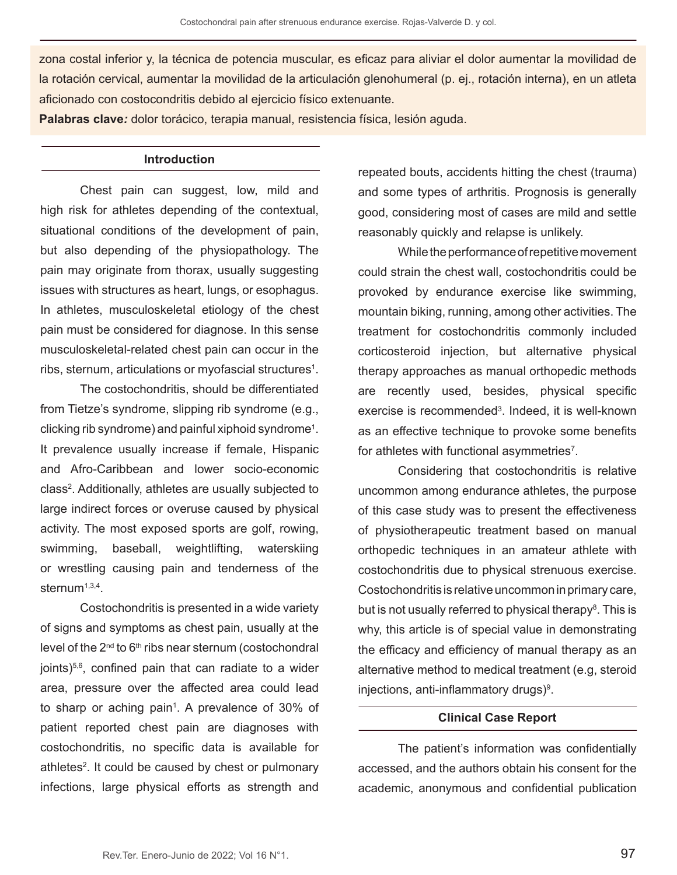zona costal inferior y, la técnica de potencia muscular, es eficaz para aliviar el dolor aumentar la movilidad de la rotación cervical, aumentar la movilidad de la articulación glenohumeral (p. ej., rotación interna), en un atleta aficionado con costocondritis debido al ejercicio físico extenuante.

**Palabras clave***:* dolor torácico, terapia manual, resistencia física, lesión aguda.

### **Introduction**

Chest pain can suggest, low, mild and high risk for athletes depending of the contextual, situational conditions of the development of pain, but also depending of the physiopathology. The pain may originate from thorax, usually suggesting issues with structures as heart, lungs, or esophagus. In athletes, musculoskeletal etiology of the chest pain must be considered for diagnose. In this sense musculoskeletal-related chest pain can occur in the ribs, sternum, articulations or myofascial structures1 .

The costochondritis, should be differentiated from Tietze's syndrome, slipping rib syndrome (e.g., clicking rib syndrome) and painful xiphoid syndrome1 . It prevalence usually increase if female, Hispanic and Afro-Caribbean and lower socio-economic class<sup>2</sup>. Additionally, athletes are usually subjected to large indirect forces or overuse caused by physical activity. The most exposed sports are golf, rowing, swimming, baseball, weightlifting, waterskiing or wrestling causing pain and tenderness of the sternum $1,3,4$ .

Costochondritis is presented in a wide variety of signs and symptoms as chest pain, usually at the level of the  $2<sup>nd</sup>$  to  $6<sup>th</sup>$  ribs near sternum (costochondral joints) $5,6$ , confined pain that can radiate to a wider area, pressure over the affected area could lead to sharp or aching pain<sup>1</sup>. A prevalence of 30% of patient reported chest pain are diagnoses with costochondritis, no specific data is available for athletes<sup>2</sup>. It could be caused by chest or pulmonary infections, large physical efforts as strength and repeated bouts, accidents hitting the chest (trauma) and some types of arthritis. Prognosis is generally good, considering most of cases are mild and settle reasonably quickly and relapse is unlikely.

While the performance of repetitive movement could strain the chest wall, costochondritis could be provoked by endurance exercise like swimming, mountain biking, running, among other activities. The treatment for costochondritis commonly included corticosteroid injection, but alternative physical therapy approaches as manual orthopedic methods are recently used, besides, physical specific exercise is recommended3 . Indeed, it is well-known as an effective technique to provoke some benefits for athletes with functional asymmetries $7$ .

Considering that costochondritis is relative uncommon among endurance athletes, the purpose of this case study was to present the effectiveness of physiotherapeutic treatment based on manual orthopedic techniques in an amateur athlete with costochondritis due to physical strenuous exercise. Costochondritis is relative uncommon in primary care, but is not usually referred to physical therapy<sup>s</sup>. This is why, this article is of special value in demonstrating the efficacy and efficiency of manual therapy as an alternative method to medical treatment (e.g, steroid injections, anti-inflammatory drugs)<sup>9</sup>.

#### **Clinical Case Report**

The patient's information was confidentially accessed, and the authors obtain his consent for the academic, anonymous and confidential publication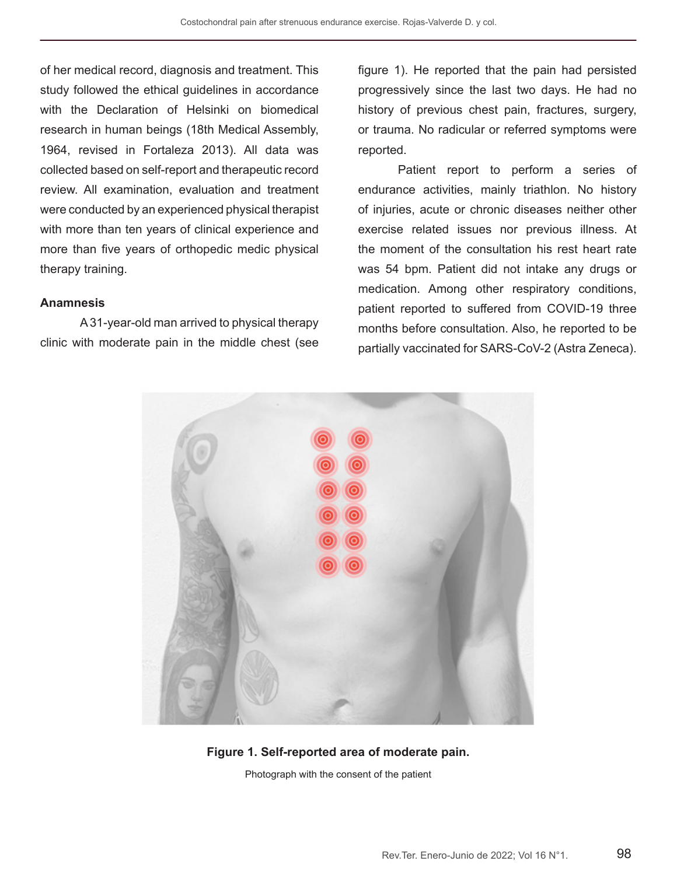of her medical record, diagnosis and treatment. This study followed the ethical guidelines in accordance with the Declaration of Helsinki on biomedical research in human beings (18th Medical Assembly, 1964, revised in Fortaleza 2013). All data was collected based on self-report and therapeutic record review. All examination, evaluation and treatment were conducted by an experienced physical therapist with more than ten years of clinical experience and more than five years of orthopedic medic physical therapy training.

#### **Anamnesis**

A 31-year-old man arrived to physical therapy clinic with moderate pain in the middle chest (see figure 1). He reported that the pain had persisted progressively since the last two days. He had no history of previous chest pain, fractures, surgery, or trauma. No radicular or referred symptoms were reported.

Patient report to perform a series of endurance activities, mainly triathlon. No history of injuries, acute or chronic diseases neither other exercise related issues nor previous illness. At the moment of the consultation his rest heart rate was 54 bpm. Patient did not intake any drugs or medication. Among other respiratory conditions, patient reported to suffered from COVID-19 three months before consultation. Also, he reported to be partially vaccinated for SARS-CoV-2 (Astra Zeneca).



#### **Figure 1. Self-reported area of moderate pain.**

Photograph with the consent of the patient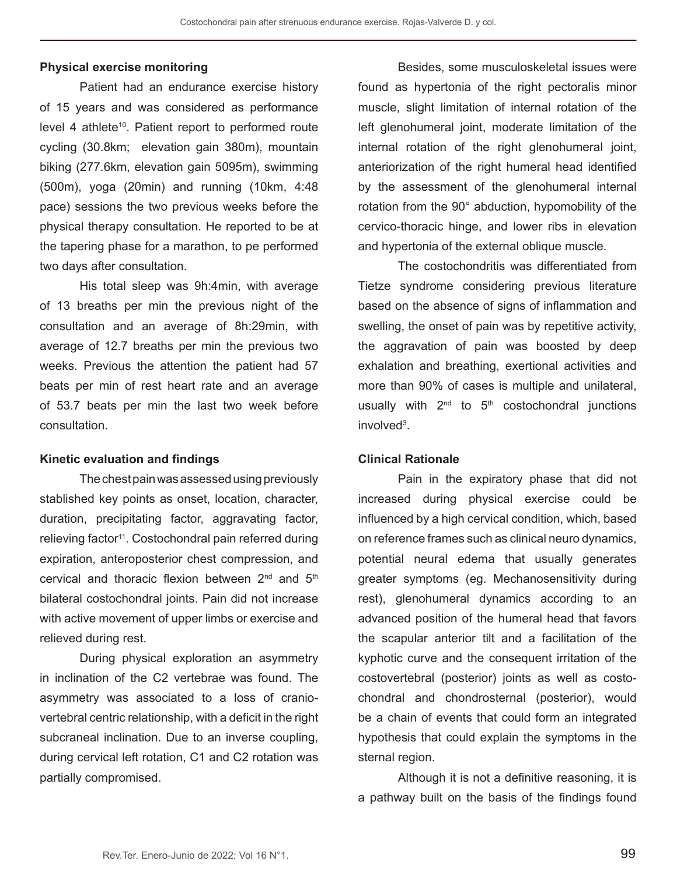#### **Physical exercise monitoring**

Patient had an endurance exercise history of 15 years and was considered as performance level 4 athlete<sup>10</sup>. Patient report to performed route cycling (30.8km; elevation gain 380m), mountain biking (277.6km, elevation gain 5095m), swimming (500m), yoga (20min) and running (10km, 4:48 pace) sessions the two previous weeks before the physical therapy consultation. He reported to be at the tapering phase for a marathon, to pe performed two days after consultation.

His total sleep was 9h:4min, with average of 13 breaths per min the previous night of the consultation and an average of 8h:29min, with average of 12.7 breaths per min the previous two weeks. Previous the attention the patient had 57 beats per min of rest heart rate and an average of 53.7 beats per min the last two week before consultation.

#### **Kinetic evaluation and findings**

The chest pain was assessed using previously stablished key points as onset, location, character, duration, precipitating factor, aggravating factor, relieving factor<sup>11</sup>. Costochondral pain referred during expiration, anteroposterior chest compression, and cervical and thoracic flexion between 2<sup>nd</sup> and 5<sup>th</sup> bilateral costochondral joints. Pain did not increase with active movement of upper limbs or exercise and relieved during rest.

During physical exploration an asymmetry in inclination of the C2 vertebrae was found. The asymmetry was associated to a loss of craniovertebral centric relationship, with a deficit in the right subcraneal inclination. Due to an inverse coupling, during cervical left rotation, C1 and C2 rotation was partially compromised.

Besides, some musculoskeletal issues were found as hypertonia of the right pectoralis minor muscle, slight limitation of internal rotation of the left glenohumeral joint, moderate limitation of the internal rotation of the right glenohumeral joint, anteriorization of the right humeral head identified by the assessment of the glenohumeral internal rotation from the 90° abduction, hypomobility of the cervico-thoracic hinge, and lower ribs in elevation and hypertonia of the external oblique muscle.

The costochondritis was differentiated from Tietze syndrome considering previous literature based on the absence of signs of inflammation and swelling, the onset of pain was by repetitive activity, the aggravation of pain was boosted by deep exhalation and breathing, exertional activities and more than 90% of cases is multiple and unilateral, usually with  $2<sup>nd</sup>$  to  $5<sup>th</sup>$  costochondral junctions involved $3$ .

#### **Clinical Rationale**

Pain in the expiratory phase that did not increased during physical exercise could be influenced by a high cervical condition, which, based on reference frames such as clinical neuro dynamics, potential neural edema that usually generates greater symptoms (eg. Mechanosensitivity during rest), glenohumeral dynamics according to an advanced position of the humeral head that favors the scapular anterior tilt and a facilitation of the kyphotic curve and the consequent irritation of the costovertebral (posterior) joints as well as costochondral and chondrosternal (posterior), would be a chain of events that could form an integrated hypothesis that could explain the symptoms in the sternal region.

Although it is not a definitive reasoning, it is a pathway built on the basis of the findings found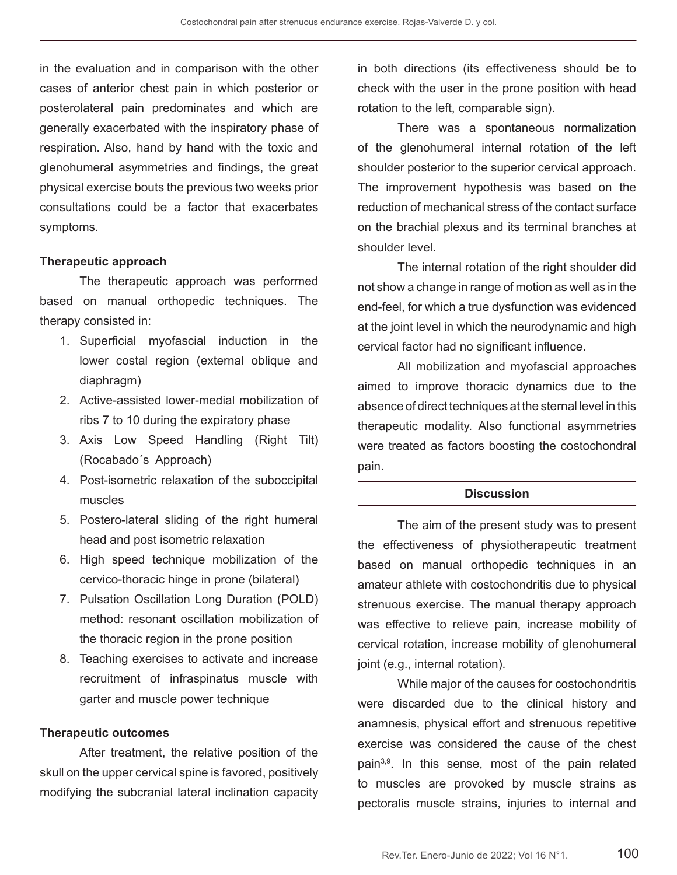in the evaluation and in comparison with the other cases of anterior chest pain in which posterior or posterolateral pain predominates and which are generally exacerbated with the inspiratory phase of respiration. Also, hand by hand with the toxic and glenohumeral asymmetries and findings, the great physical exercise bouts the previous two weeks prior consultations could be a factor that exacerbates symptoms.

#### **Therapeutic approach**

The therapeutic approach was performed based on manual orthopedic techniques. The therapy consisted in:

- 1. Superficial myofascial induction in the lower costal region (external oblique and diaphragm)
- 2. Active-assisted lower-medial mobilization of ribs 7 to 10 during the expiratory phase
- 3. Axis Low Speed Handling (Right Tilt) (Rocabado´s Approach)
- 4. Post-isometric relaxation of the suboccipital muscles
- 5. Postero-lateral sliding of the right humeral head and post isometric relaxation
- 6. High speed technique mobilization of the cervico-thoracic hinge in prone (bilateral)
- 7. Pulsation Oscillation Long Duration (POLD) method: resonant oscillation mobilization of the thoracic region in the prone position
- 8. Teaching exercises to activate and increase recruitment of infraspinatus muscle with garter and muscle power technique

#### **Therapeutic outcomes**

After treatment, the relative position of the skull on the upper cervical spine is favored, positively modifying the subcranial lateral inclination capacity

in both directions (its effectiveness should be to check with the user in the prone position with head rotation to the left, comparable sign).

There was a spontaneous normalization of the glenohumeral internal rotation of the left shoulder posterior to the superior cervical approach. The improvement hypothesis was based on the reduction of mechanical stress of the contact surface on the brachial plexus and its terminal branches at shoulder level.

The internal rotation of the right shoulder did not show a change in range of motion as well as in the end-feel, for which a true dysfunction was evidenced at the joint level in which the neurodynamic and high cervical factor had no significant influence.

All mobilization and myofascial approaches aimed to improve thoracic dynamics due to the absence of direct techniques at the sternal level in this therapeutic modality. Also functional asymmetries were treated as factors boosting the costochondral pain.

#### **Discussion**

The aim of the present study was to present the effectiveness of physiotherapeutic treatment based on manual orthopedic techniques in an amateur athlete with costochondritis due to physical strenuous exercise. The manual therapy approach was effective to relieve pain, increase mobility of cervical rotation, increase mobility of glenohumeral joint (e.g., internal rotation).

While major of the causes for costochondritis were discarded due to the clinical history and anamnesis, physical effort and strenuous repetitive exercise was considered the cause of the chest pain<sup>3,9</sup>. In this sense, most of the pain related to muscles are provoked by muscle strains as pectoralis muscle strains, injuries to internal and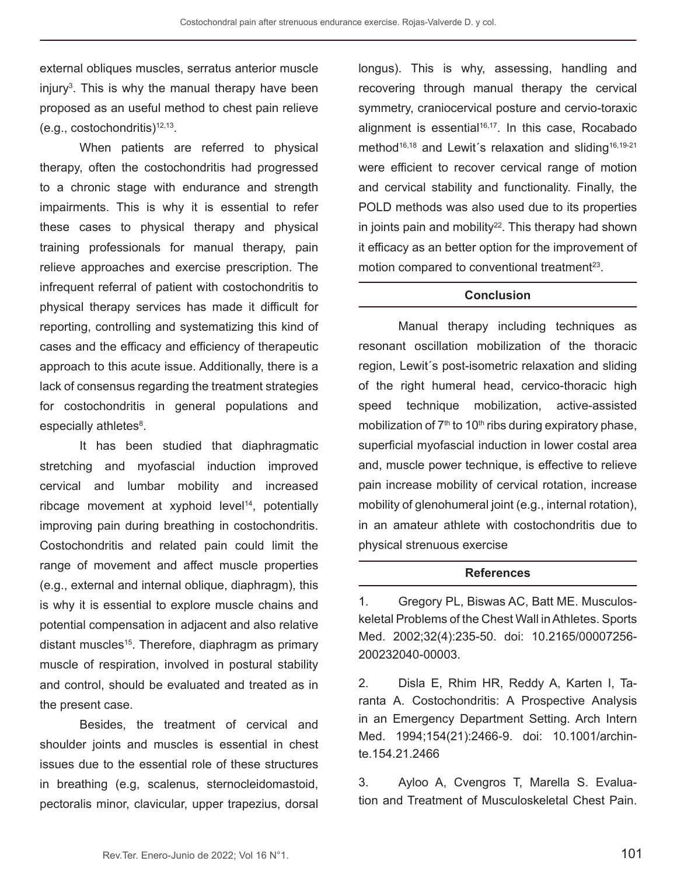external obliques muscles, serratus anterior muscle injury<sup>3</sup>. This is why the manual therapy have been proposed as an useful method to chest pain relieve  $(e.g., costochondritis)^{12,13}.$ 

When patients are referred to physical therapy, often the costochondritis had progressed to a chronic stage with endurance and strength impairments. This is why it is essential to refer these cases to physical therapy and physical training professionals for manual therapy, pain relieve approaches and exercise prescription. The infrequent referral of patient with costochondritis to physical therapy services has made it difficult for reporting, controlling and systematizing this kind of cases and the efficacy and efficiency of therapeutic approach to this acute issue. Additionally, there is a lack of consensus regarding the treatment strategies for costochondritis in general populations and especially athletes $^8$ .

It has been studied that diaphragmatic stretching and myofascial induction improved cervical and lumbar mobility and increased ribcage movement at xyphoid  $level<sup>14</sup>$ , potentially improving pain during breathing in costochondritis. Costochondritis and related pain could limit the range of movement and affect muscle properties (e.g., external and internal oblique, diaphragm), this is why it is essential to explore muscle chains and potential compensation in adjacent and also relative distant muscles<sup>15</sup>. Therefore, diaphragm as primary muscle of respiration, involved in postural stability and control, should be evaluated and treated as in the present case.

Besides, the treatment of cervical and shoulder joints and muscles is essential in chest issues due to the essential role of these structures in breathing (e.g, scalenus, sternocleidomastoid, pectoralis minor, clavicular, upper trapezius, dorsal longus). This is why, assessing, handling and recovering through manual therapy the cervical symmetry, craniocervical posture and cervio-toraxic alignment is essential $16,17$ . In this case, Rocabado method<sup>16,18</sup> and Lewit's relaxation and sliding<sup>16,19-21</sup> were efficient to recover cervical range of motion and cervical stability and functionality. Finally, the POLD methods was also used due to its properties in joints pain and mobility $22$ . This therapy had shown it efficacy as an better option for the improvement of motion compared to conventional treatment<sup>23</sup>.

### **Conclusion**

Manual therapy including techniques as resonant oscillation mobilization of the thoracic region, Lewit´s post-isometric relaxation and sliding of the right humeral head, cervico-thoracic high speed technique mobilization, active-assisted mobilization of  $7<sup>th</sup>$  to 10<sup>th</sup> ribs during expiratory phase, superficial myofascial induction in lower costal area and, muscle power technique, is effective to relieve pain increase mobility of cervical rotation, increase mobility of glenohumeral joint (e.g., internal rotation), in an amateur athlete with costochondritis due to physical strenuous exercise

### **References**

1. Gregory PL, Biswas AC, Batt ME. Musculoskeletal Problems of the Chest Wall in Athletes. Sports Med. 2002;32(4):235-50. doi: 10.2165/00007256- 200232040-00003.

2. Disla E, Rhim HR, Reddy A, Karten I, Taranta A. Costochondritis: A Prospective Analysis in an Emergency Department Setting. Arch Intern Med. 1994;154(21):2466-9. doi: 10.1001/archinte.154.21.2466

3. Ayloo A, Cvengros T, Marella S. Evaluation and Treatment of Musculoskeletal Chest Pain.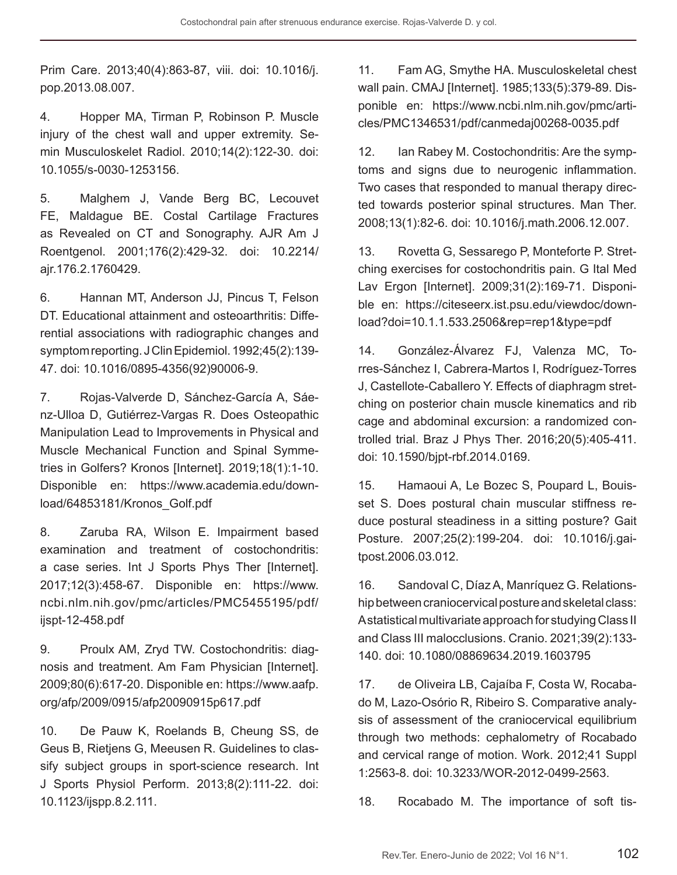Prim Care. 2013;40(4):863-87, viii. doi: 10.1016/j. pop.2013.08.007.

4. Hopper MA, Tirman P, Robinson P. Muscle injury of the chest wall and upper extremity. Semin Musculoskelet Radiol. 2010;14(2):122-30. doi: 10.1055/s-0030-1253156.

5. Malghem J, Vande Berg BC, Lecouvet FE, Maldague BE. Costal Cartilage Fractures as Revealed on CT and Sonography. AJR Am J Roentgenol. 2001;176(2):429-32. doi: 10.2214/ ajr.176.2.1760429.

6. Hannan MT, Anderson JJ, Pincus T, Felson DT. Educational attainment and osteoarthritis: Differential associations with radiographic changes and symptom reporting. J Clin Epidemiol. 1992;45(2):139- 47. doi: 10.1016/0895-4356(92)90006-9.

7. Rojas-Valverde D, Sánchez-García A, Sáenz-Ulloa D, Gutiérrez-Vargas R. Does Osteopathic Manipulation Lead to Improvements in Physical and Muscle Mechanical Function and Spinal Symmetries in Golfers? Kronos [Internet]. 2019;18(1):1-10. Disponible en: https://www.academia.edu/download/64853181/Kronos\_Golf.pdf

8. Zaruba RA, Wilson E. Impairment based examination and treatment of costochondritis: a case series. Int J Sports Phys Ther [Internet]. 2017;12(3):458-67. Disponible en: https://www. ncbi.nlm.nih.gov/pmc/articles/PMC5455195/pdf/ ijspt-12-458.pdf

9. Proulx AM, Zryd TW. Costochondritis: diagnosis and treatment. Am Fam Physician [Internet]. 2009;80(6):617-20. Disponible en: https://www.aafp. org/afp/2009/0915/afp20090915p617.pdf

10. De Pauw K, Roelands B, Cheung SS, de Geus B, Rietjens G, Meeusen R. Guidelines to classify subject groups in sport-science research. Int J Sports Physiol Perform. 2013;8(2):111-22. doi: 10.1123/ijspp.8.2.111.

11. Fam AG, Smythe HA. Musculoskeletal chest wall pain. CMAJ [Internet]. 1985;133(5):379-89. Disponible en: https://www.ncbi.nlm.nih.gov/pmc/articles/PMC1346531/pdf/canmedaj00268-0035.pdf

12. Ian Rabey M. Costochondritis: Are the symptoms and signs due to neurogenic inflammation. Two cases that responded to manual therapy directed towards posterior spinal structures. Man Ther. 2008;13(1):82-6. doi: 10.1016/j.math.2006.12.007.

13. Rovetta G, Sessarego P, Monteforte P. Stretching exercises for costochondritis pain. G Ital Med Lav Ergon [Internet]. 2009;31(2):169-71. Disponible en: https://citeseerx.ist.psu.edu/viewdoc/download?doi=10.1.1.533.2506&rep=rep1&type=pdf

14. González-Álvarez FJ, Valenza MC, Torres-Sánchez I, Cabrera-Martos I, Rodríguez-Torres J, Castellote-Caballero Y. Effects of diaphragm stretching on posterior chain muscle kinematics and rib cage and abdominal excursion: a randomized controlled trial. Braz J Phys Ther. 2016;20(5):405-411. doi: 10.1590/bjpt-rbf.2014.0169.

15. Hamaoui A, Le Bozec S, Poupard L, Bouisset S. Does postural chain muscular stiffness reduce postural steadiness in a sitting posture? Gait Posture. 2007;25(2):199-204. doi: 10.1016/j.gaitpost.2006.03.012.

16. Sandoval C, Díaz A, Manríquez G. Relationship between craniocervical posture and skeletal class: A statistical multivariate approach for studying Class II and Class III malocclusions. Cranio. 2021;39(2):133- 140. doi: 10.1080/08869634.2019.1603795

17. de Oliveira LB, Cajaíba F, Costa W, Rocabado M, Lazo-Osório R, Ribeiro S. Comparative analysis of assessment of the craniocervical equilibrium through two methods: cephalometry of Rocabado and cervical range of motion. Work. 2012;41 Suppl 1:2563-8. doi: 10.3233/WOR-2012-0499-2563.

18. Rocabado M. The importance of soft tis-